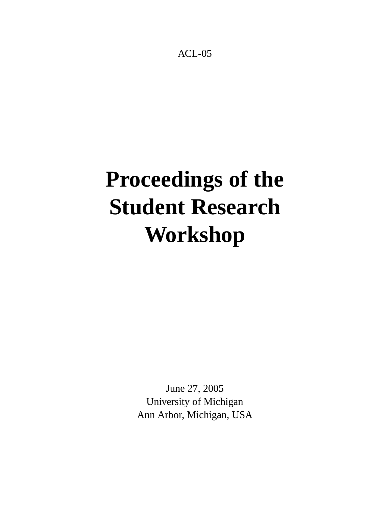<span id="page-0-0"></span>ACL-05

# **Proceedings of the Student Research Workshop**

June 27, 2005 University of Michigan Ann Arbor, Michigan, USA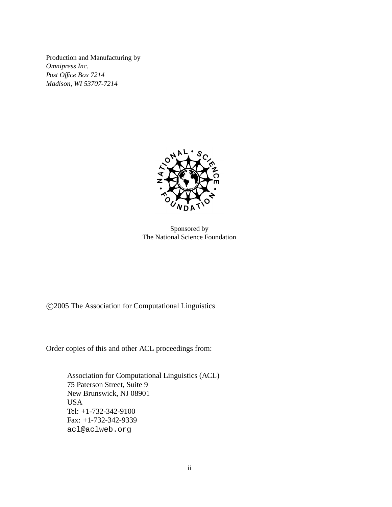Production and Manufacturing by *Omnipress Inc. Post Office Box 7214 Madison, WI 53707-7214*



Sponsored by The National Science Foundation

c 2005 The Association for Computational Linguistics

Order copies of this and other ACL proceedings from:

Association for Computational Linguistics (ACL) 75 Paterson Street, Suite 9 New Brunswick, NJ 08901 USA Tel: +1-732-342-9100 Fax: +1-732-342-9339 acl@aclweb.org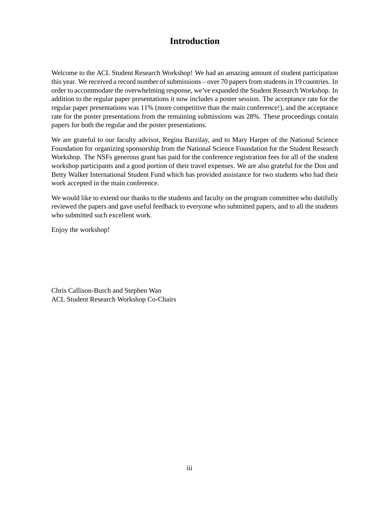## **Introduction**

Welcome to the ACL Student Research Workshop! We had an amazing amount of student participation this year. We received a record number of submissions – over 70 papers from students in 19 countries. In order to accommodate the overwhelming response, we've expanded the Student Research Workshop. In addition to the regular paper presentations it now includes a poster session. The acceptance rate for the regular paper presentations was 11% (more competitive than the main conference!), and the acceptance rate for the poster presentations from the remaining submissions was 28%. These proceedings contain papers for both the regular and the poster presentations.

We are grateful to our faculty advisor, Regina Barzilay, and to Mary Harper of the National Science Foundation for organizing sponsorship from the National Science Foundation for the Student Research Workshop. The NSFs generous grant has paid for the conference registration fees for all of the student workshop participants and a good portion of their travel expenses. We are also grateful for the Don and Betty Walker International Student Fund which has provided assistance for two students who had their work accepted in the main conference.

We would like to extend our thanks to the students and faculty on the program committee who dutifully reviewed the papers and gave useful feedback to everyone who submitted papers, and to all the students who submitted such excellent work.

Enjoy the workshop!

Chris Callison-Burch and Stephen Wan ACL Student Research Workshop Co-Chairs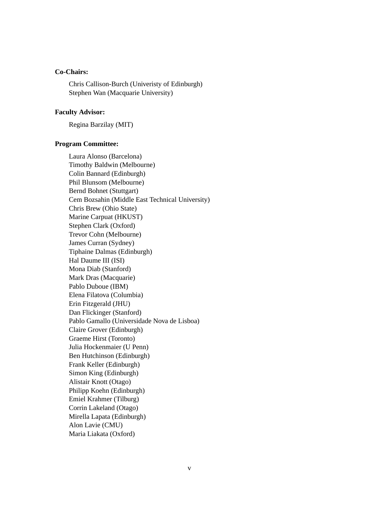#### **Co-Chairs:**

Chris Callison-Burch (Univeristy of Edinburgh) Stephen Wan (Macquarie University)

#### **Faculty Advisor:**

Regina Barzilay (MIT)

#### **Program Committee:**

Laura Alonso (Barcelona) Timothy Baldwin (Melbourne) Colin Bannard (Edinburgh) Phil Blunsom (Melbourne) Bernd Bohnet (Stuttgart) Cem Bozsahin (Middle East Technical University) Chris Brew (Ohio State) Marine Carpuat (HKUST) Stephen Clark (Oxford) Trevor Cohn (Melbourne) James Curran (Sydney) Tiphaine Dalmas (Edinburgh) Hal Daume III (ISI) Mona Diab (Stanford) Mark Dras (Macquarie) Pablo Duboue (IBM) Elena Filatova (Columbia) Erin Fitzgerald (JHU) Dan Flickinger (Stanford) Pablo Gamallo (Universidade Nova de Lisboa) Claire Grover (Edinburgh) Graeme Hirst (Toronto) Julia Hockenmaier (U Penn) Ben Hutchinson (Edinburgh) Frank Keller (Edinburgh) Simon King (Edinburgh) Alistair Knott (Otago) Philipp Koehn (Edinburgh) Emiel Krahmer (Tilburg) Corrin Lakeland (Otago) Mirella Lapata (Edinburgh) Alon Lavie (CMU) Maria Liakata (Oxford)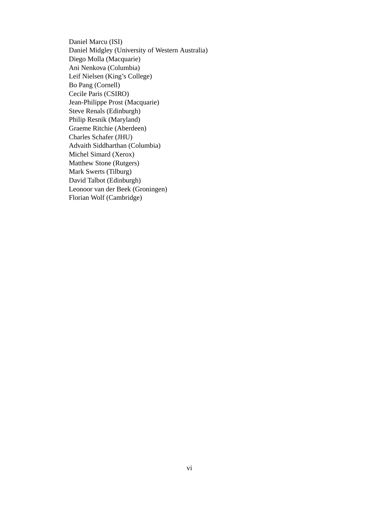Daniel Marcu (ISI) Daniel Midgley (University of Western Australia) Diego Molla (Macquarie) Ani Nenkova (Columbia) Leif Nielsen (King's College) Bo Pang (Cornell) Cecile Paris (CSIRO) Jean-Philippe Prost (Macquarie) Steve Renals (Edinburgh) Philip Resnik (Maryland) Graeme Ritchie (Aberdeen) Charles Schafer (JHU) Advaith Siddharthan (Columbia) Michel Simard (Xerox) Matthew Stone (Rutgers) Mark Swerts (Tilburg) David Talbot (Edinburgh) Leonoor van der Beek (Groningen) Florian Wolf (Cambridge)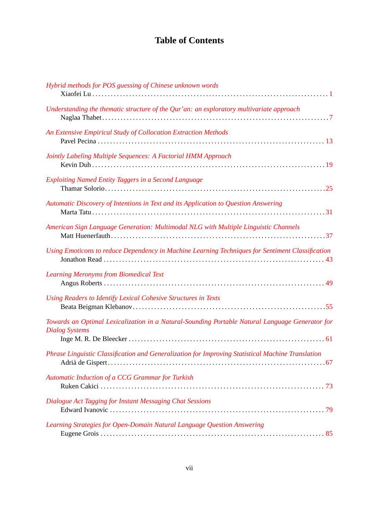# **Table of Contents**

| Hybrid methods for POS guessing of Chinese unknown words                                                                 |
|--------------------------------------------------------------------------------------------------------------------------|
| Understanding the thematic structure of the Qur'an: an exploratory multivariate approach                                 |
| An Extensive Empirical Study of Collocation Extraction Methods                                                           |
| Jointly Labeling Multiple Sequences: A Factorial HMM Approach                                                            |
| Exploiting Named Entity Taggers in a Second Language                                                                     |
| Automatic Discovery of Intentions in Text and its Application to Question Answering                                      |
| American Sign Language Generation: Multimodal NLG with Multiple Linguistic Channels                                      |
| Using Emoticons to reduce Dependency in Machine Learning Techniques for Sentiment Classification                         |
| <b>Learning Meronyms from Biomedical Text</b>                                                                            |
| Using Readers to Identify Lexical Cohesive Structures in Texts                                                           |
| Towards an Optimal Lexicalization in a Natural-Sounding Portable Natural Language Generator for<br><b>Dialog Systems</b> |
|                                                                                                                          |
| Phrase Linguistic Classification and Generalization for Improving Statistical Machine Translation                        |
| Automatic Induction of a CCG Grammar for Turkish                                                                         |
| Dialogue Act Tagging for Instant Messaging Chat Sessions                                                                 |
| Learning Strategies for Open-Domain Natural Language Question Answering                                                  |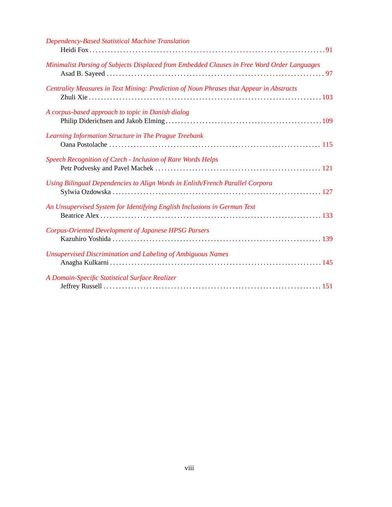| Dependency-Based Statistical Machine Translation                                            |
|---------------------------------------------------------------------------------------------|
| Minimalist Parsing of Subjects Displaced from Embedded Clauses in Free Word Order Languages |
| Centrality Measures in Text Mining: Prediction of Noun Phrases that Appear in Abstracts     |
| A corpus-based approach to topic in Danish dialog                                           |
| Learning Information Structure in The Prague Treebank                                       |
| Speech Recognition of Czech - Inclusion of Rare Words Helps                                 |
| Using Bilingual Dependencies to Align Words in Enlish/French Parallel Corpora               |
| An Unsupervised System for Identifying English Inclusions in German Text                    |
| <b>Corpus-Oriented Development of Japanese HPSG Parsers</b>                                 |
| <b>Unsupervised Discrimination and Labeling of Ambiguous Names</b>                          |
| A Domain-Specific Statistical Surface Realizer                                              |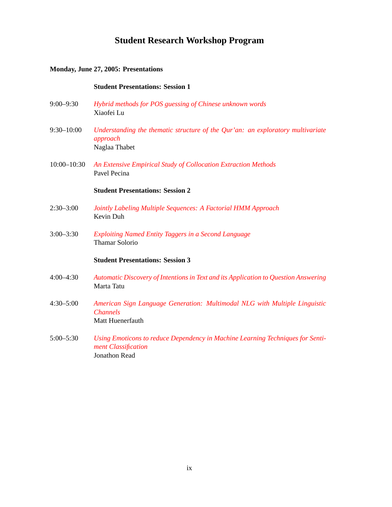### **Student Research Workshop Program**

#### **Monday, June 27, 2005: Presentations**

#### **Student Presentations: Session 1**

- 9:00–9:30 *[Hybrid methods for POS guessing of Chinese unknown words](#page-0-0)* Xiaofei Lu
- 9:30–10:00 *[Understanding the thematic structure of the Qur'an: an exploratory multivariate](#page-0-0) [approach](#page-0-0)* Naglaa Thabet
- 10:00–10:30 *[An Extensive Empirical Study of Collocation Extraction Methods](#page-0-0)* Pavel Pecina

#### **Student Presentations: Session 2**

- 2:30–3:00 *[Jointly Labeling Multiple Sequences: A Factorial HMM Approach](#page-0-0)* Kevin Duh
- 3:00–3:30 *[Exploiting Named Entity Taggers in a Second Language](#page-0-0)* Thamar Solorio

#### **Student Presentations: Session 3**

- 4:00–4:30 *[Automatic Discovery of Intentions in Text and its Application to Question Answering](#page-0-0)* Marta Tatu
- 4:30–5:00 *[American Sign Language Generation: Multimodal NLG with Multiple Linguistic](#page-0-0) [Channels](#page-0-0)* Matt Huenerfauth
- 5:00–5:30 *[Using Emoticons to reduce Dependency in Machine Learning Techniques for Senti](#page-0-0)[ment Classification](#page-0-0)* Jonathon Read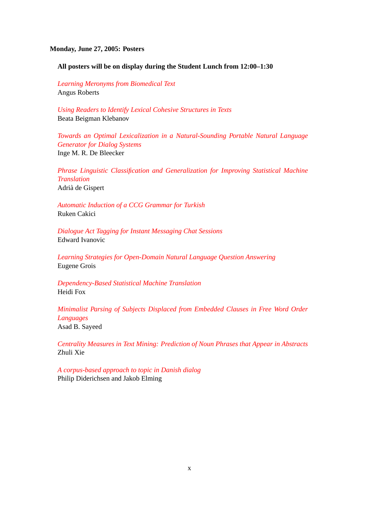#### **Monday, June 27, 2005: Posters**

#### **All posters will be on display during the Student Lunch from 12:00–1:30**

*[Learning Meronyms from Biomedical Text](#page-0-0)* Angus Roberts

*[Using Readers to Identify Lexical Cohesive Structures in Texts](#page-0-0)* Beata Beigman Klebanov

*[Towards an Optimal Lexicalization in a Natural-Sounding Portable Natural Language](#page-0-0) [Generator for Dialog Systems](#page-0-0)* Inge M. R. De Bleecker

*[Phrase Linguistic Classification and Generalization for Improving Statistical Machine](#page-0-0) [Translation](#page-0-0)* Adria de Gispert `

*[Automatic Induction of a CCG Grammar for Turkish](#page-0-0)* Ruken Cakici

*[Dialogue Act Tagging for Instant Messaging Chat Sessions](#page-0-0)* Edward Ivanovic

*[Learning Strategies for Open-Domain Natural Language Question Answering](#page-0-0)* Eugene Grois

*[Dependency-Based Statistical Machine Translation](#page-0-0)* Heidi Fox

*[Minimalist Parsing of Subjects Displaced from Embedded Clauses in Free Word Order](#page-0-0) [Languages](#page-0-0)* Asad B. Sayeed

*[Centrality Measures in Text Mining: Prediction of Noun Phrases that Appear in Abstracts](#page-0-0)* Zhuli Xie

*[A corpus-based approach to topic in Danish dialog](#page-0-0)* Philip Diderichsen and Jakob Elming